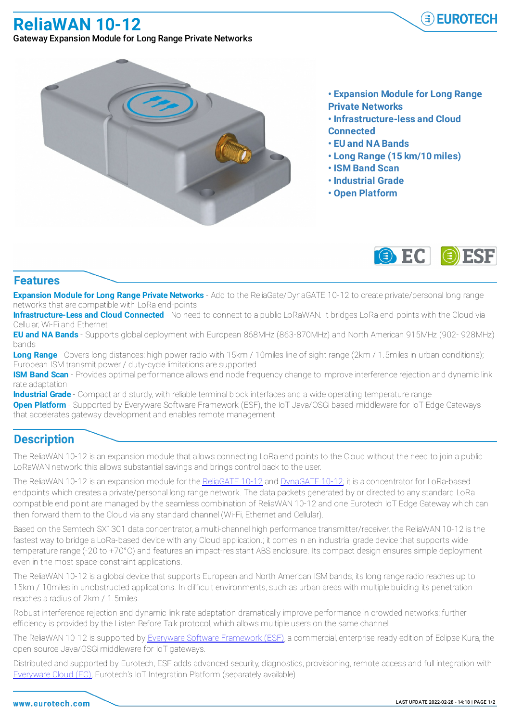**ReliaWAN 10-12**



Gateway Expansion Module for Long Range Private Networks



- **• Expansion Module for Long Range Private Networks**
- **• Infrastructure-less and Cloud Connected**
- **• EU and NA Bands**
- **• Long Range (15 km/10 miles)**
- **• ISM Band Scan**
- **• Industrial Grade**
- **• Open Platform**



## **Features**

**Expansion Module for Long Range Private Networks** - Add to the ReliaGate/DynaGATE 10-12 to create private/personal long range networks that are compatible with LoRa end-points

**Infrastructure-Less and Cloud Connected** - No need to connect to a public LoRaWAN. It bridges LoRa end-points with the Cloud via Cellular, Wi-Fi and Ethernet

**EU and NA Bands** - Supports global deployment with European 868MHz (863-870MHz) and North American 915MHz (902- 928MHz) bands

**Long Range** - Covers long distances: high power radio with 15km / 10miles line of sight range (2km / 1.5miles in urban conditions); European ISM transmit power / duty-cycle limitations are supported

**ISM Band Scan** - Provides optimal performance allows end node frequency change to improve interference rejection and dynamic link rate adaptation

**Industrial Grade** - Compact and sturdy, with reliable terminal block interfaces and a wide operating temperature range

**Open Platform** - Supported by Everyware Software Framework (ESF), the IoT Java/OSGi based-middleware for IoT Edge Gateways that accelerates gateway development and enables remote management

## **Description**

The ReliaWAN 10-12 is an expansion module that allows connecting LoRa end points to the Cloud without the need to join a public LoRaWAN network: this allows substantial savings and brings control back to the user.

The ReliaWAN 10-12 is an expansion module for the ReliaGATE 10-12 and DynaGATE 10-12; it is a concentrator for LoRa-based endpoints which creates a private/personal long range network. The data packets generated by or directed to any standard LoRa compatible end point are managed by the seamless combination of ReliaWAN 10-12 and one Eurotech IoT Edge Gateway which can then forward them to the Cloud via any standard channel (Wi-Fi, Ethernet and Cellular).

Based on the Semtech SX1301 data concentrator, a multi-channel high performance transmitter/receiver, the ReliaWAN 10-12 is the fastest way to bridge a LoRa-based device with any Cloud application.; it comes in an industrial grade device that supports wide temperature range (-20 to +70°C) and features an impact-resistant ABS enclosure. Its compact design ensures simple deployment even in the most space-constraint applications.

The ReliaWAN 10-12 is a global device that supports European and North American ISM bands; its long range radio reaches up to 15km / 10miles in unobstructed applications. In difficult environments, such as urban areas with multiple building its penetration reaches a radius of 2km / 1.5miles.

Robust interference rejection and dynamic link rate adaptation dramatically improve performance in crowded networks; further efficiency is provided by the Listen Before Talk protocol, which allows multiple users on the same channel.

The ReliaWAN 10-12 is supported by Everyware Software Framework (ESF), a commercial, enterprise-ready edition of Eclipse Kura, the open source Java/OSGi middleware for IoT gateways.

Distributed and supported by Eurotech, ESF adds advanced security, diagnostics, provisioning, remote access and full integration with Everyware Cloud (EC), Eurotech's IoT Integration Platform (separately available).